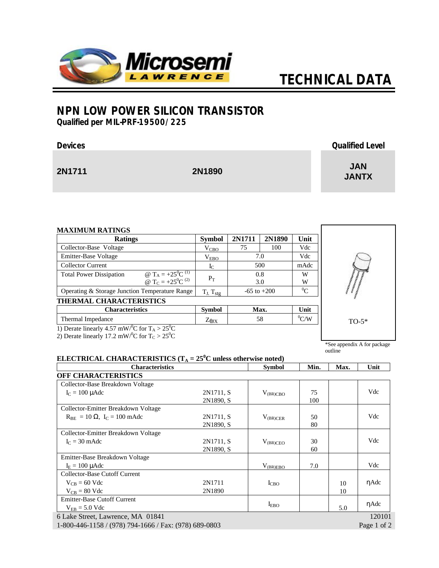

# *TECHNICAL DATA*

## **NPN LOW POWER SILICON TRANSISTOR**

*Qualified per MIL-PRF-19500/225*

| <b>Devices</b> |        | <b>Qualified Level</b>     |
|----------------|--------|----------------------------|
| 2N1711         | 2N1890 | <b>JAN</b><br><b>JANTX</b> |

| <b>Ratings</b>                                                                                                                    | <b>Symbol</b>     | 2N1711          | 2N1890 | Unit           |
|-----------------------------------------------------------------------------------------------------------------------------------|-------------------|-----------------|--------|----------------|
| Collector-Base Voltage                                                                                                            | $V_{CBO}$         | 75              | 100    | Vdc            |
| Emitter-Base Voltage                                                                                                              | $\rm V_{EBO}$     | 7.0             |        | Vdc            |
| Collector Current                                                                                                                 | $_{\rm L}$        | 500             |        | mAdc           |
| @ T <sub>A</sub> = $+25^{\circ}C^{(1)}$<br><b>Total Power Dissipation</b><br>@ T <sub>C</sub> = +25 <sup>0</sup> C <sup>(2)</sup> | $P_T$             | 0.8<br>3.0      |        | W<br>W         |
| Operating & Storage Junction Temperature Range                                                                                    | $T_J$ , $T_{stg}$ | $-65$ to $+200$ |        | $^{0}C$        |
| <b>THERMAL CHARACTERISTICS</b>                                                                                                    |                   |                 |        |                |
| <b>Characteristics</b>                                                                                                            | <b>Symbol</b>     |                 | Max.   | Unit           |
| Thermal Impedance                                                                                                                 | $Z_{\theta$ JX    |                 | 58     | $\mathrm{C/W}$ |



1) Derate linearly 4.57 mW/°C for  $T_A > 25$ °C

2) Derate linearly 17.2 mW/<sup>0</sup>C for  $T_c > 25$ <sup>0</sup>C

### \*See appendix A for package outline

#### **ELECTRICAL CHARACTERISTICS** (T<sub>A</sub> = 25<sup>0</sup>C unless otherwise noted)<br>
Characteristics Symbol Characteristics Symbol Min. Max. Unit **OFF CHARACTERISTICS** Collector-Base Breakdown Voltage  $I<sub>C</sub> = 100 \mu A d c$  2N1711, S 2N1890, S  $V_{\text{(BR)CBO}}$  75 100 Vdc Collector-Emitter Breakdown Voltage  $R_{BE} = 10 \Omega$ , I<sub>C</sub> = 100 mAdc 2N1711, S 2N1890, S  $V_{(BR)CER}$  50 80 Vdc Collector-Emitter Breakdown Voltage  $I_C = 30 \text{ m}$ Adc 2N1711, S 2N1890, S  $V_{(BR)CEO}$  30 60 Vdc Emitter-Base Breakdown Voltage  $I_E = 100 \mu \text{A}$ dc Vdc Collector-Base Cutoff Current  $V_{CB} = 60$  Vdc 2N1711  $V_{CB} = 80$  Vdc 2N1890  $I<sub>CBO</sub>$  10 10 ηAdc Emitter-Base Cutoff Current  $V_{EB} = 5.0$  Vdc  $V_{EB} = 5.0$  Vdc  $V_{EB} = 5.0$  Vdc 6 Lake Street, Lawrence, MA 01841 120101

1-800-446-1158 / (978) 794-1666 / Fax: (978) 689-0803